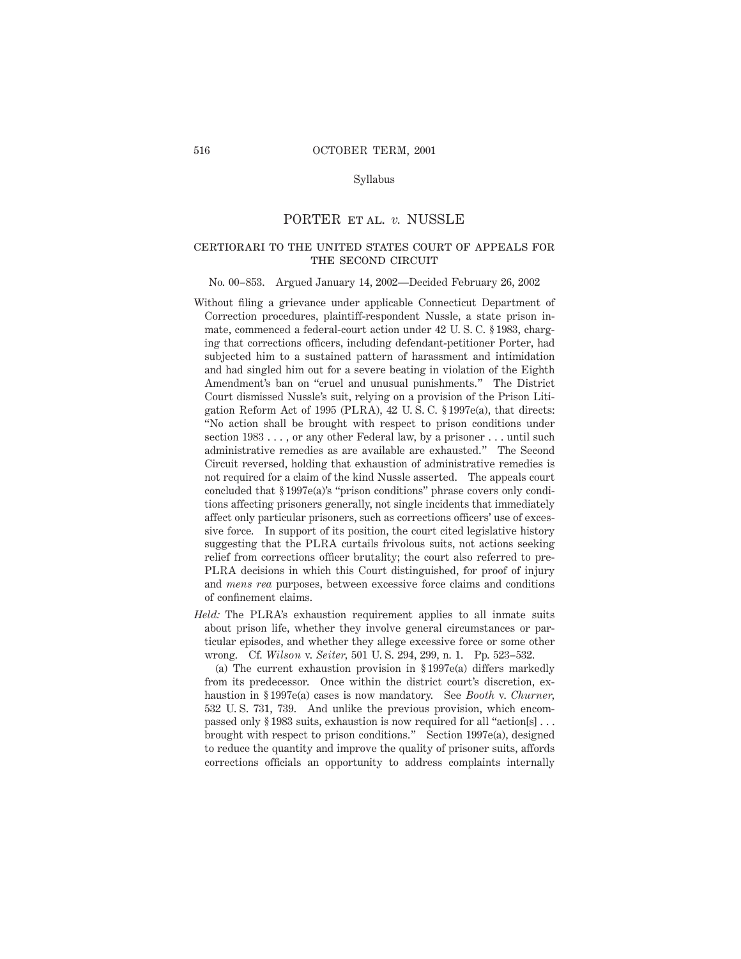# Syllabus

# PORTER et al. *v.* NUSSLE

# certiorari to the united states court of appeals for THE SECOND CIRCUIT

#### No. 00–853. Argued January 14, 2002—Decided February 26, 2002

- Without filing a grievance under applicable Connecticut Department of Correction procedures, plaintiff-respondent Nussle, a state prison inmate, commenced a federal-court action under 42 U. S. C. § 1983, charging that corrections officers, including defendant-petitioner Porter, had subjected him to a sustained pattern of harassment and intimidation and had singled him out for a severe beating in violation of the Eighth Amendment's ban on "cruel and unusual punishments." The District Court dismissed Nussle's suit, relying on a provision of the Prison Litigation Reform Act of 1995 (PLRA), 42 U. S. C. § 1997e(a), that directs: "No action shall be brought with respect to prison conditions under section 1983 . . . , or any other Federal law, by a prisoner . . . until such administrative remedies as are available are exhausted." The Second Circuit reversed, holding that exhaustion of administrative remedies is not required for a claim of the kind Nussle asserted. The appeals court concluded that § 1997e(a)'s "prison conditions" phrase covers only conditions affecting prisoners generally, not single incidents that immediately affect only particular prisoners, such as corrections officers' use of excessive force. In support of its position, the court cited legislative history suggesting that the PLRA curtails frivolous suits, not actions seeking relief from corrections officer brutality; the court also referred to pre-PLRA decisions in which this Court distinguished, for proof of injury and *mens rea* purposes, between excessive force claims and conditions of confinement claims.
- *Held:* The PLRA's exhaustion requirement applies to all inmate suits about prison life, whether they involve general circumstances or particular episodes, and whether they allege excessive force or some other wrong. Cf. *Wilson* v. *Seiter,* 501 U. S. 294, 299, n. 1. Pp. 523–532.

(a) The current exhaustion provision in § 1997e(a) differs markedly from its predecessor. Once within the district court's discretion, exhaustion in § 1997e(a) cases is now mandatory. See *Booth* v. *Churner,* 532 U. S. 731, 739. And unlike the previous provision, which encompassed only § 1983 suits, exhaustion is now required for all "action[s] . . . brought with respect to prison conditions." Section 1997e(a), designed to reduce the quantity and improve the quality of prisoner suits, affords corrections officials an opportunity to address complaints internally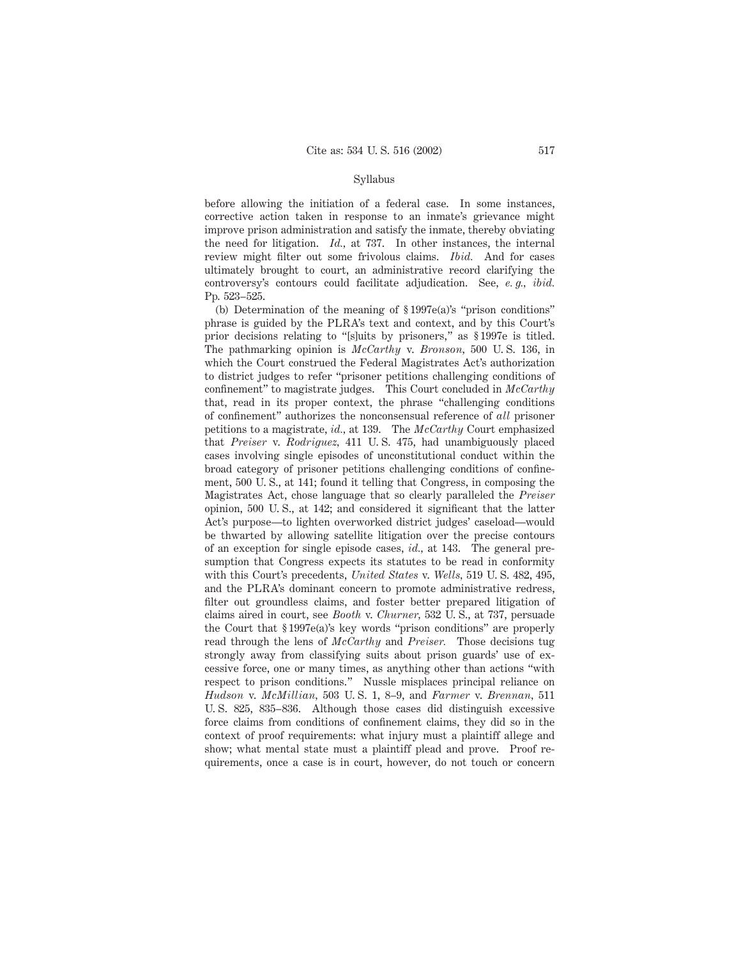#### Syllabus

before allowing the initiation of a federal case. In some instances, corrective action taken in response to an inmate's grievance might improve prison administration and satisfy the inmate, thereby obviating the need for litigation. *Id.,* at 737. In other instances, the internal review might filter out some frivolous claims. *Ibid.* And for cases ultimately brought to court, an administrative record clarifying the controversy's contours could facilitate adjudication. See, *e. g., ibid.* Pp. 523–525.

(b) Determination of the meaning of § 1997e(a)'s "prison conditions" phrase is guided by the PLRA's text and context, and by this Court's prior decisions relating to "[s]uits by prisoners," as § 1997e is titled. The pathmarking opinion is *McCarthy* v. *Bronson,* 500 U. S. 136, in which the Court construed the Federal Magistrates Act's authorization to district judges to refer "prisoner petitions challenging conditions of confinement" to magistrate judges. This Court concluded in *McCarthy* that, read in its proper context, the phrase "challenging conditions of confinement" authorizes the nonconsensual reference of *all* prisoner petitions to a magistrate, *id.,* at 139. The *McCarthy* Court emphasized that *Preiser* v. *Rodriguez,* 411 U. S. 475, had unambiguously placed cases involving single episodes of unconstitutional conduct within the broad category of prisoner petitions challenging conditions of confinement, 500 U. S., at 141; found it telling that Congress, in composing the Magistrates Act, chose language that so clearly paralleled the *Preiser* opinion, 500 U. S., at 142; and considered it significant that the latter Act's purpose—to lighten overworked district judges' caseload—would be thwarted by allowing satellite litigation over the precise contours of an exception for single episode cases, *id.,* at 143. The general presumption that Congress expects its statutes to be read in conformity with this Court's precedents, *United States* v. *Wells,* 519 U. S. 482, 495, and the PLRA's dominant concern to promote administrative redress, filter out groundless claims, and foster better prepared litigation of claims aired in court, see *Booth* v. *Churner,* 532 U. S., at 737, persuade the Court that § 1997e(a)'s key words "prison conditions" are properly read through the lens of *McCarthy* and *Preiser.* Those decisions tug strongly away from classifying suits about prison guards' use of excessive force, one or many times, as anything other than actions "with respect to prison conditions." Nussle misplaces principal reliance on *Hudson* v. *McMillian,* 503 U. S. 1, 8–9, and *Farmer* v. *Brennan,* 511 U. S. 825, 835–836. Although those cases did distinguish excessive force claims from conditions of confinement claims, they did so in the context of proof requirements: what injury must a plaintiff allege and show; what mental state must a plaintiff plead and prove. Proof requirements, once a case is in court, however, do not touch or concern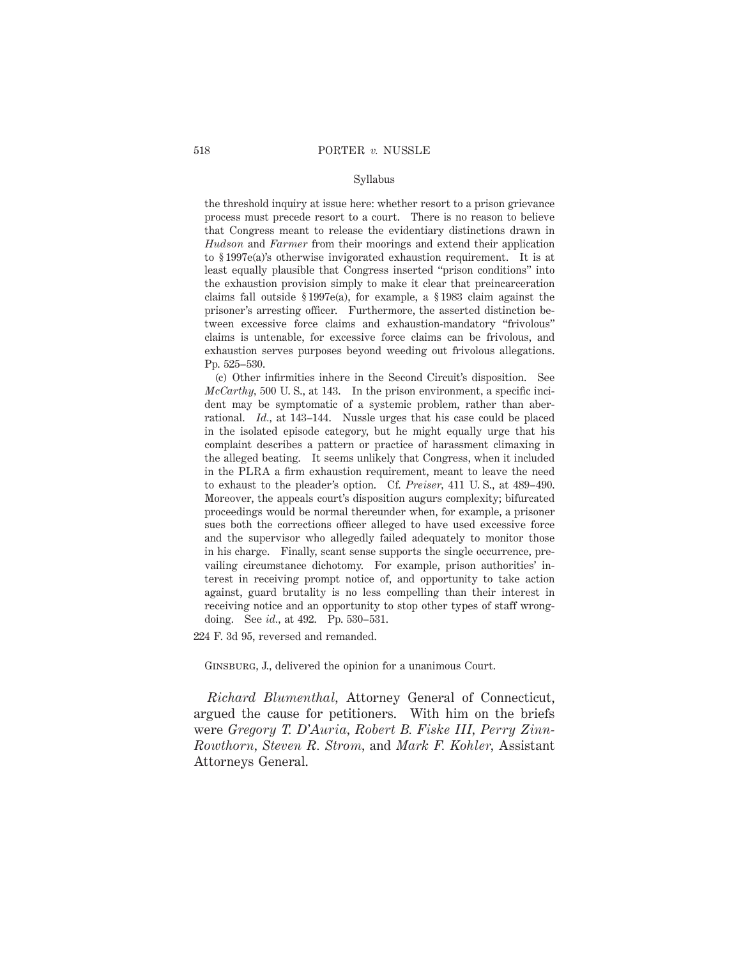## Syllabus

the threshold inquiry at issue here: whether resort to a prison grievance process must precede resort to a court. There is no reason to believe that Congress meant to release the evidentiary distinctions drawn in *Hudson* and *Farmer* from their moorings and extend their application to § 1997e(a)'s otherwise invigorated exhaustion requirement. It is at least equally plausible that Congress inserted "prison conditions" into the exhaustion provision simply to make it clear that preincarceration claims fall outside § 1997e(a), for example, a § 1983 claim against the prisoner's arresting officer. Furthermore, the asserted distinction between excessive force claims and exhaustion-mandatory "frivolous" claims is untenable, for excessive force claims can be frivolous, and exhaustion serves purposes beyond weeding out frivolous allegations. Pp. 525–530.

(c) Other infirmities inhere in the Second Circuit's disposition. See *McCarthy,* 500 U. S., at 143. In the prison environment, a specific incident may be symptomatic of a systemic problem, rather than aberrational. *Id.,* at 143–144. Nussle urges that his case could be placed in the isolated episode category, but he might equally urge that his complaint describes a pattern or practice of harassment climaxing in the alleged beating. It seems unlikely that Congress, when it included in the PLRA a firm exhaustion requirement, meant to leave the need to exhaust to the pleader's option. Cf. *Preiser,* 411 U. S., at 489–490. Moreover, the appeals court's disposition augurs complexity; bifurcated proceedings would be normal thereunder when, for example, a prisoner sues both the corrections officer alleged to have used excessive force and the supervisor who allegedly failed adequately to monitor those in his charge. Finally, scant sense supports the single occurrence, prevailing circumstance dichotomy. For example, prison authorities' interest in receiving prompt notice of, and opportunity to take action against, guard brutality is no less compelling than their interest in receiving notice and an opportunity to stop other types of staff wrongdoing. See *id.,* at 492. Pp. 530–531.

224 F. 3d 95, reversed and remanded.

Ginsburg, J., delivered the opinion for a unanimous Court.

*Richard Blumenthal,* Attorney General of Connecticut, argued the cause for petitioners. With him on the briefs were *Gregory T. D'Auria, Robert B. Fiske III, Perry Zinn-Rowthorn, Steven R. Strom,* and *Mark F. Kohler,* Assistant Attorneys General.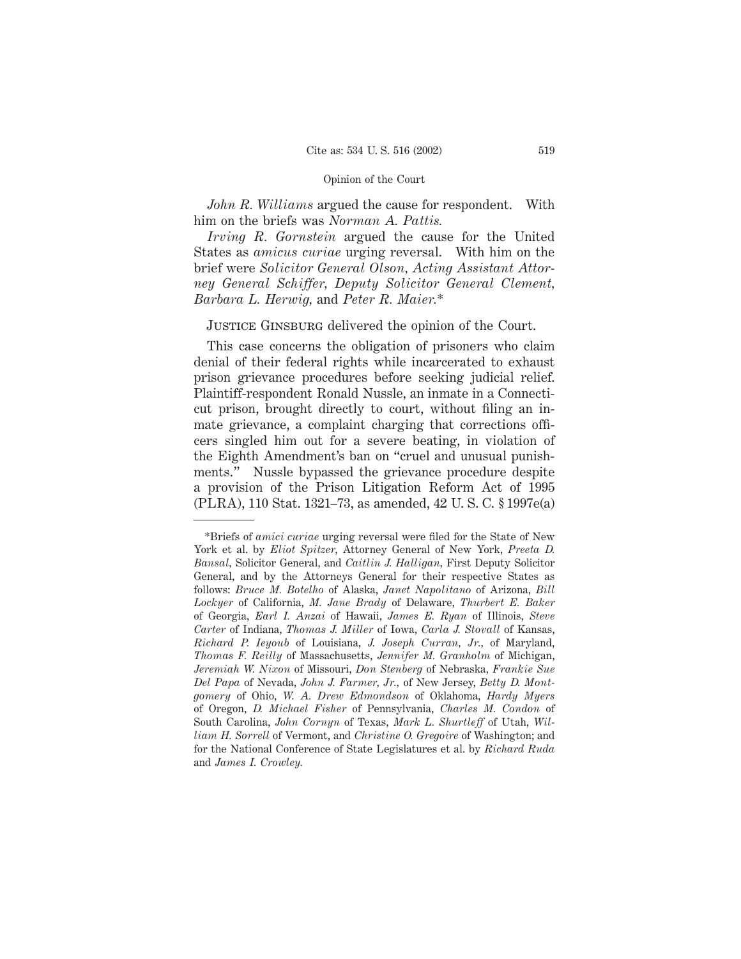*John R. Williams* argued the cause for respondent. With him on the briefs was *Norman A. Pattis.*

*Irving R. Gornstein* argued the cause for the United States as *amicus curiae* urging reversal. With him on the brief were *Solicitor General Olson, Acting Assistant Attorney General Schiffer, Deputy Solicitor General Clement, Barbara L. Herwig,* and *Peter R. Maier.*\*

JUSTICE GINSBURG delivered the opinion of the Court.

This case concerns the obligation of prisoners who claim denial of their federal rights while incarcerated to exhaust prison grievance procedures before seeking judicial relief. Plaintiff-respondent Ronald Nussle, an inmate in a Connecticut prison, brought directly to court, without filing an inmate grievance, a complaint charging that corrections officers singled him out for a severe beating, in violation of the Eighth Amendment's ban on "cruel and unusual punishments." Nussle bypassed the grievance procedure despite a provision of the Prison Litigation Reform Act of 1995 (PLRA), 110 Stat. 1321–73, as amended, 42 U. S. C. § 1997e(a)

<sup>\*</sup>Briefs of *amici curiae* urging reversal were filed for the State of New York et al. by *Eliot Spitzer,* Attorney General of New York, *Preeta D. Bansal,* Solicitor General, and *Caitlin J. Halligan,* First Deputy Solicitor General, and by the Attorneys General for their respective States as follows: *Bruce M. Botelho* of Alaska, *Janet Napolitano* of Arizona, *Bill Lockyer* of California, *M. Jane Brady* of Delaware, *Thurbert E. Baker* of Georgia, *Earl I. Anzai* of Hawaii, *James E. Ryan* of Illinois, *Steve Carter* of Indiana, *Thomas J. Miller* of Iowa, *Carla J. Stovall* of Kansas, *Richard P. Ieyoub* of Louisiana, *J. Joseph Curran, Jr.,* of Maryland, *Thomas F. Reilly* of Massachusetts, *Jennifer M. Granholm* of Michigan, *Jeremiah W. Nixon* of Missouri, *Don Stenberg* of Nebraska, *Frankie Sue Del Papa* of Nevada, *John J. Farmer, Jr.,* of New Jersey, *Betty D. Montgomery* of Ohio, *W. A. Drew Edmondson* of Oklahoma, *Hardy Myers* of Oregon, *D. Michael Fisher* of Pennsylvania, *Charles M. Condon* of South Carolina, *John Cornyn* of Texas, *Mark L. Shurtleff* of Utah, *William H. Sorrell* of Vermont, and *Christine O. Gregoire* of Washington; and for the National Conference of State Legislatures et al. by *Richard Ruda* and *James I. Crowley.*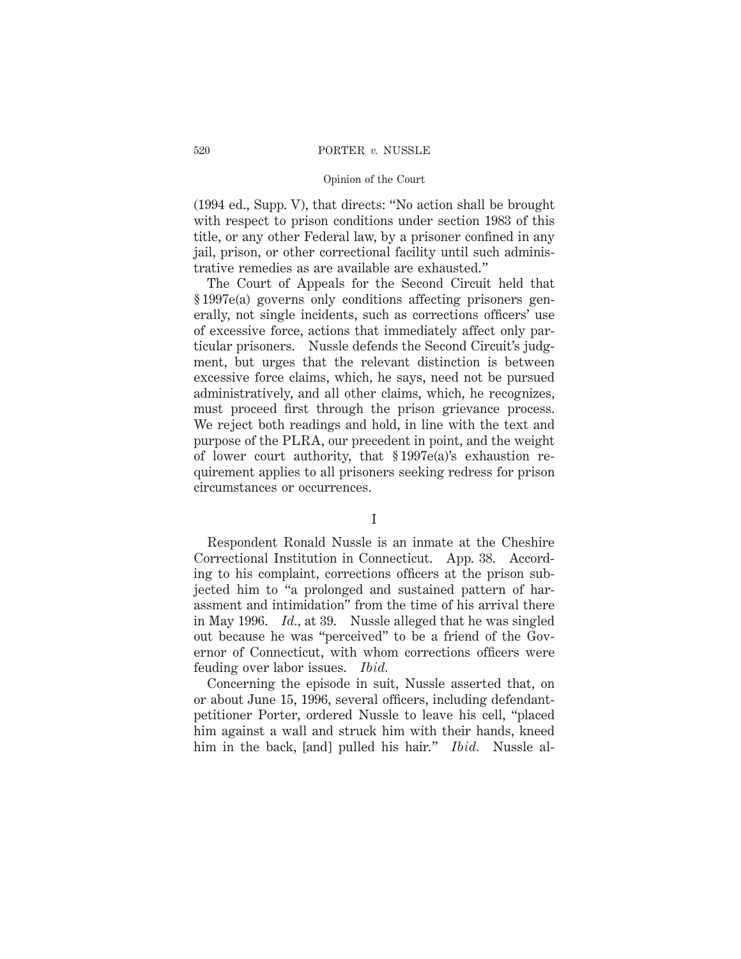## 520 PORTER *v.* NUSSLE

# Opinion of the Court

(1994 ed., Supp. V), that directs: "No action shall be brought with respect to prison conditions under section 1983 of this title, or any other Federal law, by a prisoner confined in any jail, prison, or other correctional facility until such administrative remedies as are available are exhausted."

The Court of Appeals for the Second Circuit held that § 1997e(a) governs only conditions affecting prisoners generally, not single incidents, such as corrections officers' use of excessive force, actions that immediately affect only particular prisoners. Nussle defends the Second Circuit's judgment, but urges that the relevant distinction is between excessive force claims, which, he says, need not be pursued administratively, and all other claims, which, he recognizes, must proceed first through the prison grievance process. We reject both readings and hold, in line with the text and purpose of the PLRA, our precedent in point, and the weight of lower court authority, that § 1997e(a)'s exhaustion requirement applies to all prisoners seeking redress for prison circumstances or occurrences.

I

Respondent Ronald Nussle is an inmate at the Cheshire Correctional Institution in Connecticut. App. 38. According to his complaint, corrections officers at the prison subjected him to "a prolonged and sustained pattern of harassment and intimidation" from the time of his arrival there in May 1996. *Id.,* at 39. Nussle alleged that he was singled out because he was "perceived" to be a friend of the Governor of Connecticut, with whom corrections officers were feuding over labor issues. *Ibid.*

Concerning the episode in suit, Nussle asserted that, on or about June 15, 1996, several officers, including defendantpetitioner Porter, ordered Nussle to leave his cell, "placed him against a wall and struck him with their hands, kneed him in the back, [and] pulled his hair." *Ibid.* Nussle al-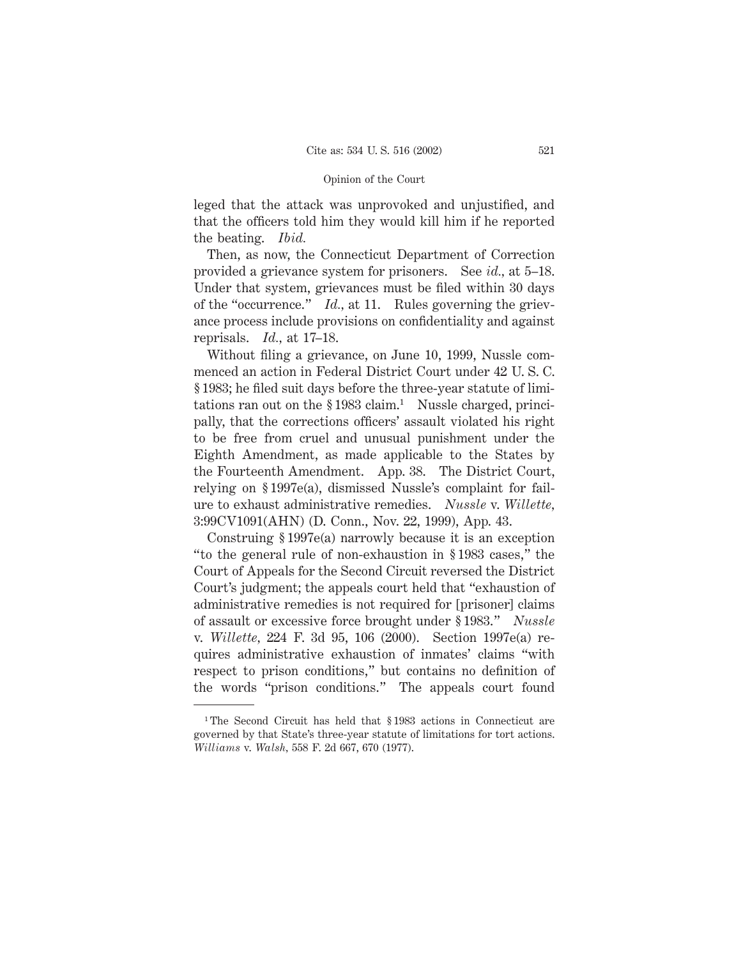leged that the attack was unprovoked and unjustified, and that the officers told him they would kill him if he reported the beating. *Ibid.*

Then, as now, the Connecticut Department of Correction provided a grievance system for prisoners. See *id.,* at 5–18. Under that system, grievances must be filed within 30 days of the "occurrence." *Id.,* at 11. Rules governing the grievance process include provisions on confidentiality and against reprisals. *Id.,* at 17–18.

Without filing a grievance, on June 10, 1999, Nussle commenced an action in Federal District Court under 42 U. S. C. § 1983; he filed suit days before the three-year statute of limitations ran out on the  $\S 1983$  claim.<sup>1</sup> Nussle charged, principally, that the corrections officers' assault violated his right to be free from cruel and unusual punishment under the Eighth Amendment, as made applicable to the States by the Fourteenth Amendment. App. 38. The District Court, relying on § 1997e(a), dismissed Nussle's complaint for failure to exhaust administrative remedies. *Nussle* v. *Willette,* 3:99CV1091(AHN) (D. Conn., Nov. 22, 1999), App. 43.

Construing § 1997e(a) narrowly because it is an exception "to the general rule of non-exhaustion in § 1983 cases," the Court of Appeals for the Second Circuit reversed the District Court's judgment; the appeals court held that "exhaustion of administrative remedies is not required for [prisoner] claims of assault or excessive force brought under § 1983." *Nussle* v. *Willette,* 224 F. 3d 95, 106 (2000). Section 1997e(a) requires administrative exhaustion of inmates' claims "with respect to prison conditions," but contains no definition of the words "prison conditions." The appeals court found

<sup>&</sup>lt;sup>1</sup>The Second Circuit has held that § 1983 actions in Connecticut are governed by that State's three-year statute of limitations for tort actions. *Williams* v. *Walsh,* 558 F. 2d 667, 670 (1977).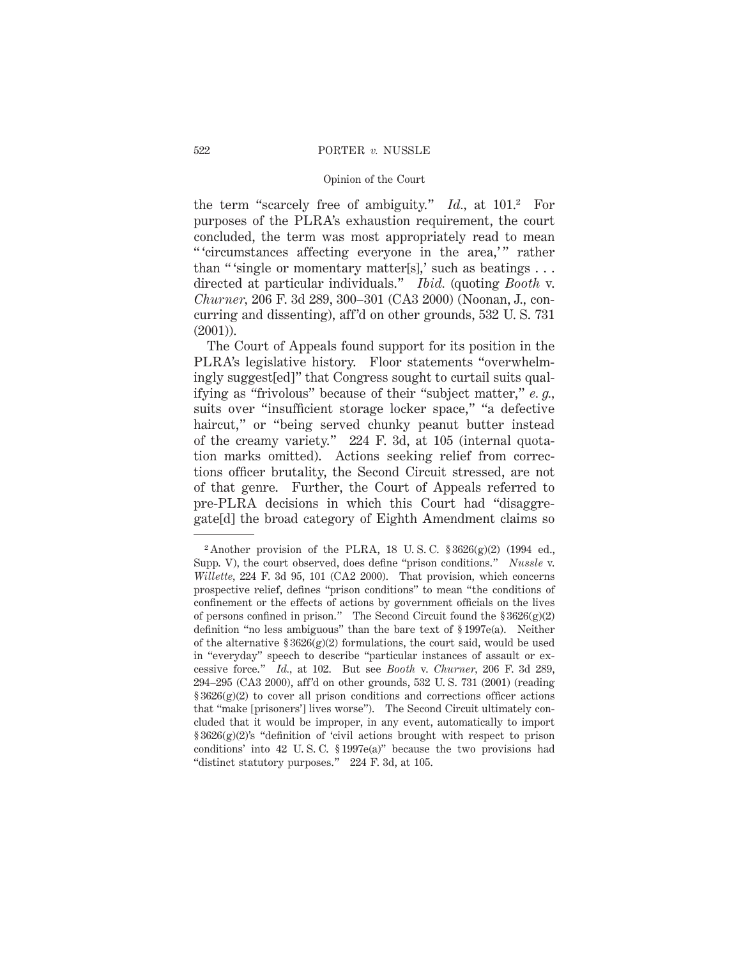the term "scarcely free of ambiguity." *Id.,* at 101.2 For purposes of the PLRA's exhaustion requirement, the court concluded, the term was most appropriately read to mean " 'circumstances affecting everyone in the area,'" rather than "'single or momentary matter[s],' such as beatings... directed at particular individuals." *Ibid.* (quoting *Booth* v. *Churner,* 206 F. 3d 289, 300–301 (CA3 2000) (Noonan, J., concurring and dissenting), aff'd on other grounds, 532 U. S. 731 (2001)).

The Court of Appeals found support for its position in the PLRA's legislative history. Floor statements "overwhelmingly suggest[ed]" that Congress sought to curtail suits qualifying as "frivolous" because of their "subject matter," *e. g.,* suits over "insufficient storage locker space," "a defective haircut," or "being served chunky peanut butter instead of the creamy variety." 224 F. 3d, at 105 (internal quotation marks omitted). Actions seeking relief from corrections officer brutality, the Second Circuit stressed, are not of that genre. Further, the Court of Appeals referred to pre-PLRA decisions in which this Court had "disaggregate[d] the broad category of Eighth Amendment claims so

<sup>&</sup>lt;sup>2</sup> Another provision of the PLRA, 18 U.S.C.  $$3626(g)(2)$  (1994 ed., Supp. V), the court observed, does define "prison conditions." *Nussle* v. *Willette,* 224 F. 3d 95, 101 (CA2 2000). That provision, which concerns prospective relief, defines "prison conditions" to mean "the conditions of confinement or the effects of actions by government officials on the lives of persons confined in prison." The Second Circuit found the  $\S 3626(g)(2)$ definition "no less ambiguous" than the bare text of § 1997e(a). Neither of the alternative  $\S 3626(g)(2)$  formulations, the court said, would be used in "everyday" speech to describe "particular instances of assault or excessive force." *Id.,* at 102. But see *Booth* v. *Churner,* 206 F. 3d 289, 294–295 (CA3 2000), aff'd on other grounds, 532 U. S. 731 (2001) (reading  $§ 3626(g)(2)$  to cover all prison conditions and corrections officer actions that "make [prisoners'] lives worse"). The Second Circuit ultimately concluded that it would be improper, in any event, automatically to import § 3626(g)(2)'s "definition of 'civil actions brought with respect to prison conditions' into 42 U. S. C. § 1997e(a)" because the two provisions had "distinct statutory purposes." 224 F. 3d, at 105.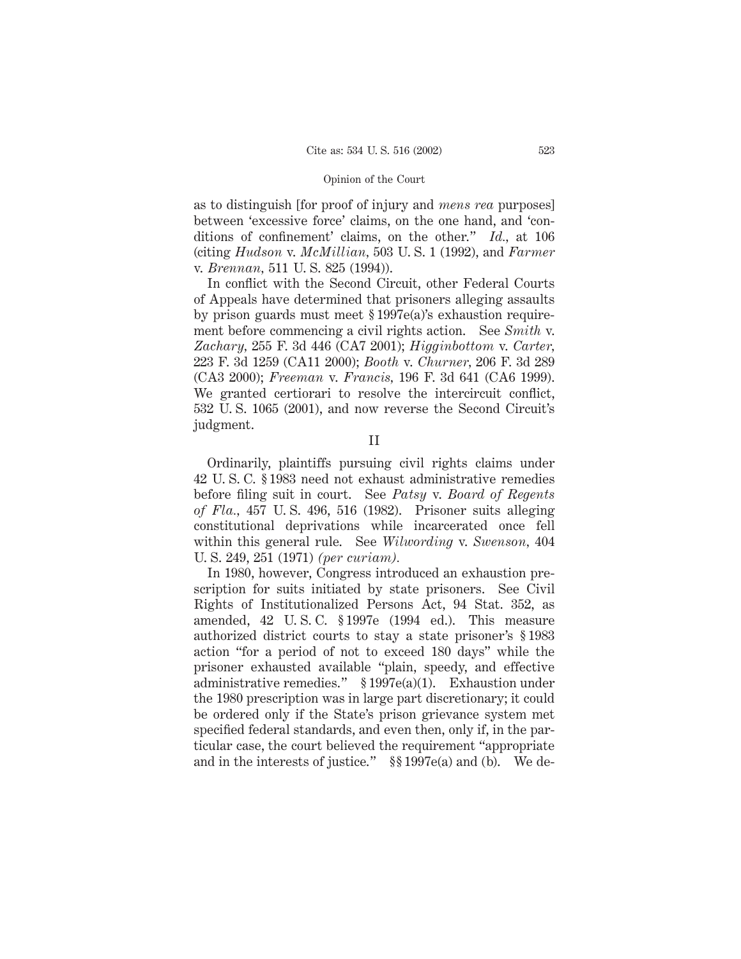as to distinguish [for proof of injury and *mens rea* purposes] between 'excessive force' claims, on the one hand, and 'conditions of confinement' claims, on the other." *Id.,* at 106 (citing *Hudson* v. *McMillian,* 503 U. S. 1 (1992), and *Farmer* v. *Brennan,* 511 U. S. 825 (1994)).

In conflict with the Second Circuit, other Federal Courts of Appeals have determined that prisoners alleging assaults by prison guards must meet § 1997e(a)'s exhaustion requirement before commencing a civil rights action. See *Smith* v. *Zachary,* 255 F. 3d 446 (CA7 2001); *Higginbottom* v. *Carter,* 223 F. 3d 1259 (CA11 2000); *Booth* v. *Churner,* 206 F. 3d 289 (CA3 2000); *Freeman* v. *Francis,* 196 F. 3d 641 (CA6 1999). We granted certiorari to resolve the intercircuit conflict, 532 U. S. 1065 (2001), and now reverse the Second Circuit's judgment.

II

Ordinarily, plaintiffs pursuing civil rights claims under 42 U. S. C. § 1983 need not exhaust administrative remedies before filing suit in court. See *Patsy* v. *Board of Regents of Fla.,* 457 U. S. 496, 516 (1982). Prisoner suits alleging constitutional deprivations while incarcerated once fell within this general rule. See *Wilwording* v. *Swenson,* 404 U. S. 249, 251 (1971) *(per curiam).*

In 1980, however, Congress introduced an exhaustion prescription for suits initiated by state prisoners. See Civil Rights of Institutionalized Persons Act, 94 Stat. 352, as amended, 42 U. S. C. § 1997e (1994 ed.). This measure authorized district courts to stay a state prisoner's § 1983 action "for a period of not to exceed 180 days" while the prisoner exhausted available "plain, speedy, and effective administrative remedies." § 1997e(a)(1). Exhaustion under the 1980 prescription was in large part discretionary; it could be ordered only if the State's prison grievance system met specified federal standards, and even then, only if, in the particular case, the court believed the requirement "appropriate and in the interests of justice." §§ 1997e(a) and (b). We de-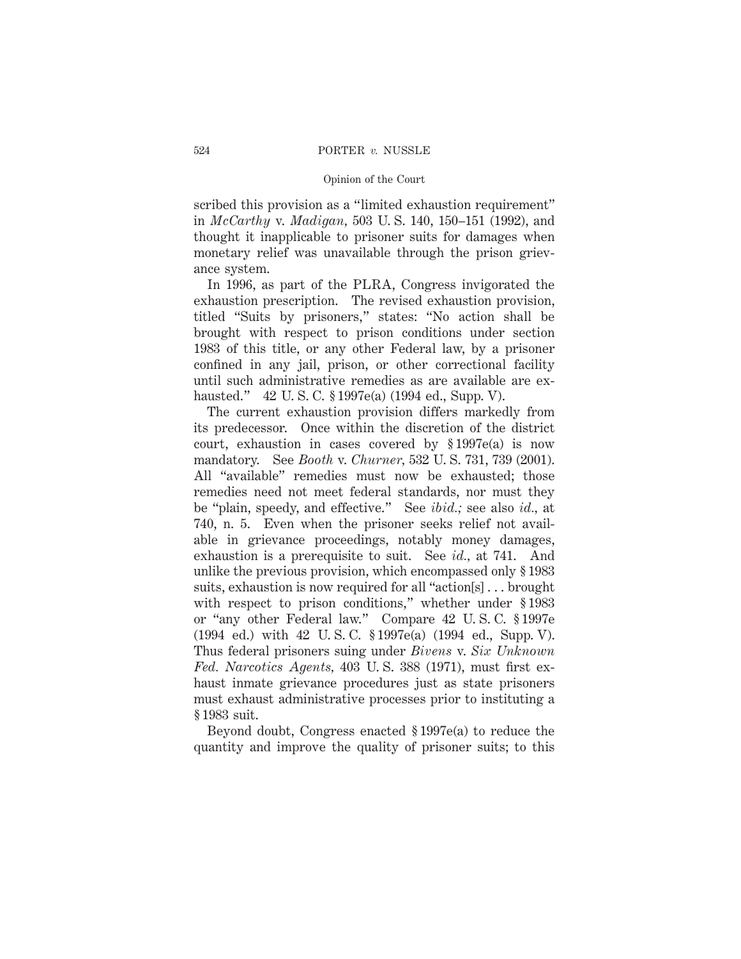scribed this provision as a "limited exhaustion requirement" in *McCarthy* v. *Madigan,* 503 U. S. 140, 150–151 (1992), and thought it inapplicable to prisoner suits for damages when monetary relief was unavailable through the prison grievance system.

In 1996, as part of the PLRA, Congress invigorated the exhaustion prescription. The revised exhaustion provision, titled "Suits by prisoners," states: "No action shall be brought with respect to prison conditions under section 1983 of this title, or any other Federal law, by a prisoner confined in any jail, prison, or other correctional facility until such administrative remedies as are available are exhausted." 42 U. S. C. § 1997e(a) (1994 ed., Supp. V).

The current exhaustion provision differs markedly from its predecessor. Once within the discretion of the district court, exhaustion in cases covered by § 1997e(a) is now mandatory. See *Booth* v. *Churner,* 532 U. S. 731, 739 (2001). All "available" remedies must now be exhausted; those remedies need not meet federal standards, nor must they be "plain, speedy, and effective." See *ibid.;* see also *id.,* at 740, n. 5. Even when the prisoner seeks relief not available in grievance proceedings, notably money damages, exhaustion is a prerequisite to suit. See *id.,* at 741. And unlike the previous provision, which encompassed only § 1983 suits, exhaustion is now required for all "action[s] . . . brought with respect to prison conditions," whether under §1983 or "any other Federal law." Compare 42 U. S. C. § 1997e (1994 ed.) with 42 U. S. C. § 1997e(a) (1994 ed., Supp. V). Thus federal prisoners suing under *Bivens* v. *Six Unknown Fed. Narcotics Agents,* 403 U. S. 388 (1971), must first exhaust inmate grievance procedures just as state prisoners must exhaust administrative processes prior to instituting a § 1983 suit.

Beyond doubt, Congress enacted § 1997e(a) to reduce the quantity and improve the quality of prisoner suits; to this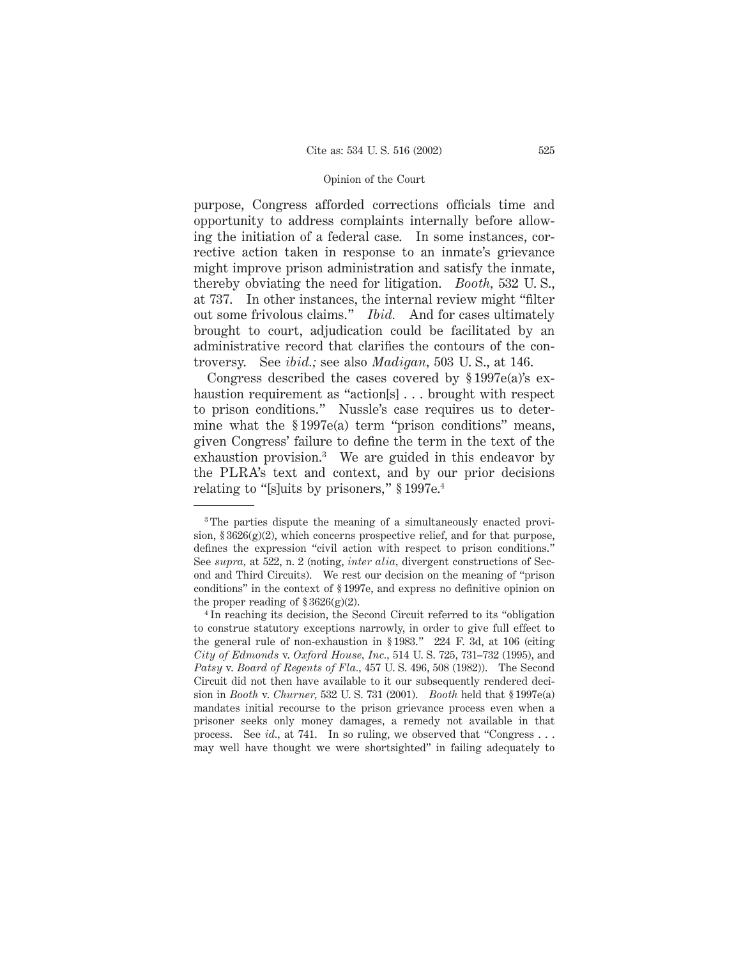purpose, Congress afforded corrections officials time and opportunity to address complaints internally before allowing the initiation of a federal case. In some instances, corrective action taken in response to an inmate's grievance might improve prison administration and satisfy the inmate, thereby obviating the need for litigation. *Booth,* 532 U. S., at 737. In other instances, the internal review might "filter out some frivolous claims." *Ibid.* And for cases ultimately brought to court, adjudication could be facilitated by an administrative record that clarifies the contours of the controversy. See *ibid.;* see also *Madigan,* 503 U. S., at 146.

Congress described the cases covered by § 1997e(a)'s exhaustion requirement as "action[s]... brought with respect to prison conditions." Nussle's case requires us to determine what the § 1997e(a) term "prison conditions" means, given Congress' failure to define the term in the text of the exhaustion provision.3 We are guided in this endeavor by the PLRA's text and context, and by our prior decisions relating to "[s]uits by prisoners," § 1997e.4

<sup>3</sup> The parties dispute the meaning of a simultaneously enacted provision,  $$3626(g)(2)$ , which concerns prospective relief, and for that purpose, defines the expression "civil action with respect to prison conditions." See *supra,* at 522, n. 2 (noting, *inter alia,* divergent constructions of Second and Third Circuits). We rest our decision on the meaning of "prison conditions" in the context of § 1997e, and express no definitive opinion on the proper reading of  $\S 3626(g)(2)$ .

<sup>4</sup> In reaching its decision, the Second Circuit referred to its "obligation to construe statutory exceptions narrowly, in order to give full effect to the general rule of non-exhaustion in § 1983." 224 F. 3d, at 106 (citing *City of Edmonds* v. *Oxford House, Inc.,* 514 U. S. 725, 731–732 (1995), and *Patsy* v. *Board of Regents of Fla.,* 457 U. S. 496, 508 (1982)). The Second Circuit did not then have available to it our subsequently rendered decision in *Booth* v. *Churner,* 532 U. S. 731 (2001). *Booth* held that § 1997e(a) mandates initial recourse to the prison grievance process even when a prisoner seeks only money damages, a remedy not available in that process. See *id.,* at 741. In so ruling, we observed that "Congress . . . may well have thought we were shortsighted" in failing adequately to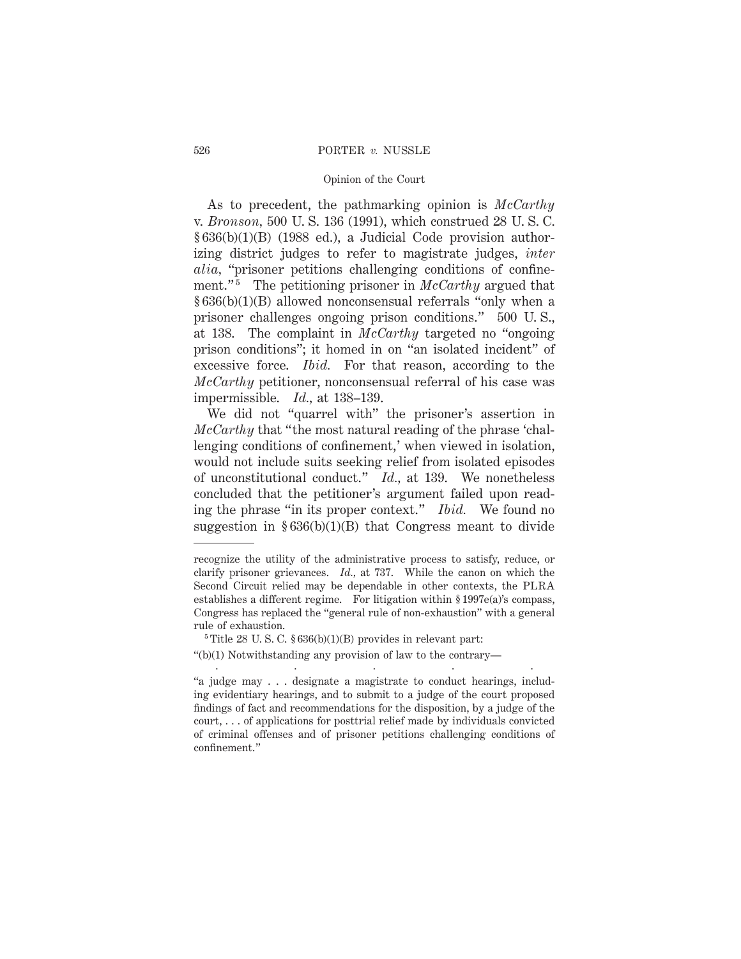## 526 PORTER *v.* NUSSLE

# Opinion of the Court

As to precedent, the pathmarking opinion is *McCarthy* v. *Bronson,* 500 U. S. 136 (1991), which construed 28 U. S. C. § 636(b)(1)(B) (1988 ed.), a Judicial Code provision authorizing district judges to refer to magistrate judges, *inter alia,* "prisoner petitions challenging conditions of confinement."<sup>5</sup> The petitioning prisoner in *McCarthy* argued that § 636(b)(1)(B) allowed nonconsensual referrals "only when a prisoner challenges ongoing prison conditions." 500 U. S., at 138. The complaint in *McCarthy* targeted no "ongoing prison conditions"; it homed in on "an isolated incident" of excessive force. *Ibid.* For that reason, according to the *McCarthy* petitioner, nonconsensual referral of his case was impermissible. *Id.,* at 138–139.

We did not "quarrel with" the prisoner's assertion in *McCarthy* that "the most natural reading of the phrase 'challenging conditions of confinement,' when viewed in isolation, would not include suits seeking relief from isolated episodes of unconstitutional conduct." *Id.,* at 139. We nonetheless concluded that the petitioner's argument failed upon reading the phrase "in its proper context." *Ibid.* We found no suggestion in  $§ 636(b)(1)(B)$  that Congress meant to divide

recognize the utility of the administrative process to satisfy, reduce, or clarify prisoner grievances. *Id.,* at 737. While the canon on which the Second Circuit relied may be dependable in other contexts, the PLRA establishes a different regime. For litigation within § 1997e(a)'s compass, Congress has replaced the "general rule of non-exhaustion" with a general rule of exhaustion.

 $5$  Title 28 U.S.C.  $$636(b)(1)(B)$  provides in relevant part:

<sup>&</sup>quot;(b)(1) Notwithstanding any provision of law to the contrary— .....

<sup>&</sup>quot;a judge may . . . designate a magistrate to conduct hearings, including evidentiary hearings, and to submit to a judge of the court proposed findings of fact and recommendations for the disposition, by a judge of the court, . . . of applications for posttrial relief made by individuals convicted of criminal offenses and of prisoner petitions challenging conditions of confinement."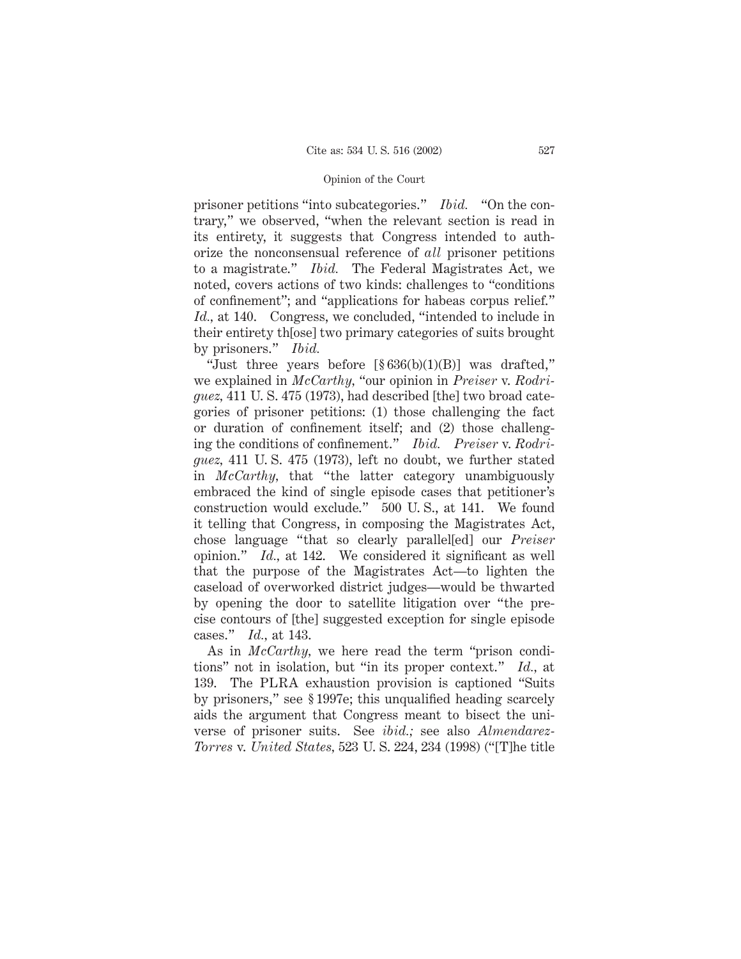prisoner petitions "into subcategories." *Ibid.* "On the contrary," we observed, "when the relevant section is read in its entirety, it suggests that Congress intended to authorize the nonconsensual reference of *all* prisoner petitions to a magistrate." *Ibid.* The Federal Magistrates Act, we noted, covers actions of two kinds: challenges to "conditions of confinement"; and "applications for habeas corpus relief." *Id.,* at 140. Congress, we concluded, "intended to include in their entirety th[ose] two primary categories of suits brought by prisoners." *Ibid.*

"Just three years before  $[\S 636(b)(1)(B)]$  was drafted," we explained in *McCarthy,* "our opinion in *Preiser* v. *Rodriguez,* 411 U. S. 475 (1973), had described [the] two broad categories of prisoner petitions: (1) those challenging the fact or duration of confinement itself; and (2) those challenging the conditions of confinement." *Ibid. Preiser* v. *Rodriguez,* 411 U. S. 475 (1973), left no doubt, we further stated in *McCarthy,* that "the latter category unambiguously embraced the kind of single episode cases that petitioner's construction would exclude." 500 U. S., at 141. We found it telling that Congress, in composing the Magistrates Act, chose language "that so clearly parallel[ed] our *Preiser* opinion." *Id.,* at 142. We considered it significant as well that the purpose of the Magistrates Act—to lighten the caseload of overworked district judges—would be thwarted by opening the door to satellite litigation over "the precise contours of [the] suggested exception for single episode cases." *Id.,* at 143.

As in *McCarthy,* we here read the term "prison conditions" not in isolation, but "in its proper context." *Id.,* at 139. The PLRA exhaustion provision is captioned "Suits by prisoners," see § 1997e; this unqualified heading scarcely aids the argument that Congress meant to bisect the universe of prisoner suits. See *ibid.;* see also *Almendarez-Torres* v. *United States,* 523 U. S. 224, 234 (1998) ("[T]he title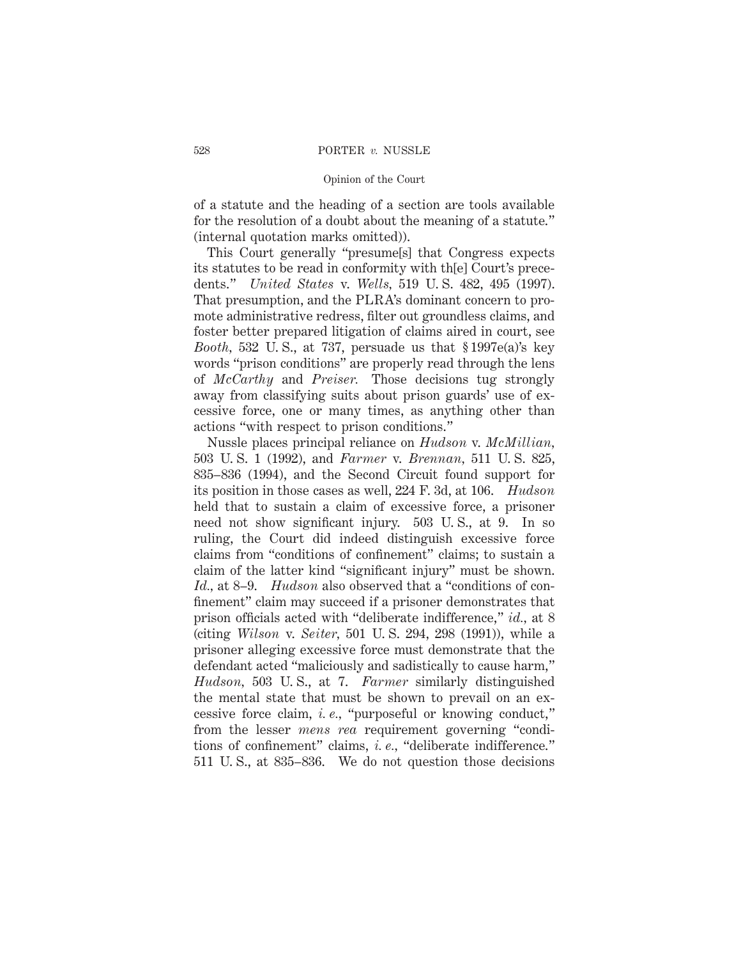of a statute and the heading of a section are tools available for the resolution of a doubt about the meaning of a statute." (internal quotation marks omitted)).

This Court generally "presume[s] that Congress expects its statutes to be read in conformity with th[e] Court's precedents." *United States* v. *Wells,* 519 U. S. 482, 495 (1997). That presumption, and the PLRA's dominant concern to promote administrative redress, filter out groundless claims, and foster better prepared litigation of claims aired in court, see *Booth,* 532 U. S., at 737, persuade us that § 1997e(a)'s key words "prison conditions" are properly read through the lens of *McCarthy* and *Preiser.* Those decisions tug strongly away from classifying suits about prison guards' use of excessive force, one or many times, as anything other than actions "with respect to prison conditions."

Nussle places principal reliance on *Hudson* v. *McMillian,* 503 U. S. 1 (1992), and *Farmer* v. *Brennan,* 511 U. S. 825, 835–836 (1994), and the Second Circuit found support for its position in those cases as well, 224 F. 3d, at 106. *Hudson* held that to sustain a claim of excessive force, a prisoner need not show significant injury. 503 U. S., at 9. In so ruling, the Court did indeed distinguish excessive force claims from "conditions of confinement" claims; to sustain a claim of the latter kind "significant injury" must be shown. *Id.,* at 8–9. *Hudson* also observed that a "conditions of confinement" claim may succeed if a prisoner demonstrates that prison officials acted with "deliberate indifference," *id.,* at 8 (citing *Wilson* v. *Seiter,* 501 U. S. 294, 298 (1991)), while a prisoner alleging excessive force must demonstrate that the defendant acted "maliciously and sadistically to cause harm," *Hudson,* 503 U. S., at 7. *Farmer* similarly distinguished the mental state that must be shown to prevail on an excessive force claim, *i. e.,* "purposeful or knowing conduct," from the lesser *mens rea* requirement governing "conditions of confinement" claims, *i. e.,* "deliberate indifference." 511 U. S., at 835–836. We do not question those decisions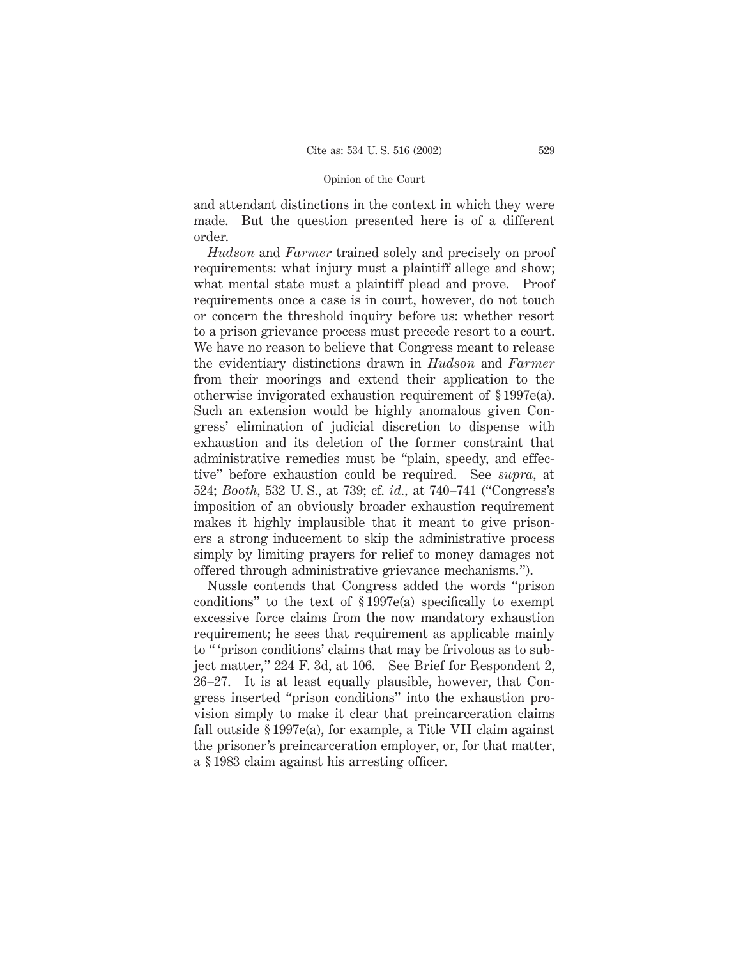and attendant distinctions in the context in which they were made. But the question presented here is of a different order.

*Hudson* and *Farmer* trained solely and precisely on proof requirements: what injury must a plaintiff allege and show; what mental state must a plaintiff plead and prove. Proof requirements once a case is in court, however, do not touch or concern the threshold inquiry before us: whether resort to a prison grievance process must precede resort to a court. We have no reason to believe that Congress meant to release the evidentiary distinctions drawn in *Hudson* and *Farmer* from their moorings and extend their application to the otherwise invigorated exhaustion requirement of § 1997e(a). Such an extension would be highly anomalous given Congress' elimination of judicial discretion to dispense with exhaustion and its deletion of the former constraint that administrative remedies must be "plain, speedy, and effective" before exhaustion could be required. See *supra,* at 524; *Booth,* 532 U. S., at 739; cf. *id.,* at 740–741 ("Congress's imposition of an obviously broader exhaustion requirement makes it highly implausible that it meant to give prisoners a strong inducement to skip the administrative process simply by limiting prayers for relief to money damages not offered through administrative grievance mechanisms.").

Nussle contends that Congress added the words "prison conditions" to the text of § 1997e(a) specifically to exempt excessive force claims from the now mandatory exhaustion requirement; he sees that requirement as applicable mainly to " 'prison conditions' claims that may be frivolous as to subject matter," 224 F. 3d, at 106. See Brief for Respondent 2, 26–27. It is at least equally plausible, however, that Congress inserted "prison conditions" into the exhaustion provision simply to make it clear that preincarceration claims fall outside § 1997e(a), for example, a Title VII claim against the prisoner's preincarceration employer, or, for that matter, a § 1983 claim against his arresting officer.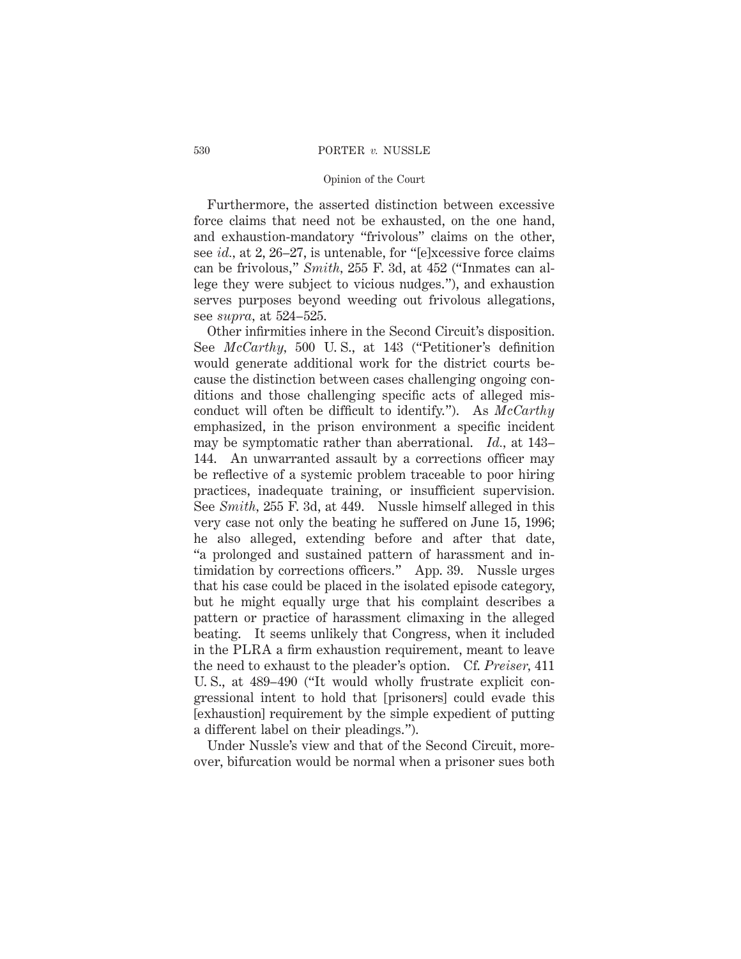# 530 PORTER *v.* NUSSLE

## Opinion of the Court

Furthermore, the asserted distinction between excessive force claims that need not be exhausted, on the one hand, and exhaustion-mandatory "frivolous" claims on the other, see *id.,* at 2, 26–27, is untenable, for "[e]xcessive force claims can be frivolous," *Smith,* 255 F. 3d, at 452 ("Inmates can allege they were subject to vicious nudges."), and exhaustion serves purposes beyond weeding out frivolous allegations, see *supra,* at 524–525.

Other infirmities inhere in the Second Circuit's disposition. See *McCarthy,* 500 U. S., at 143 ("Petitioner's definition would generate additional work for the district courts because the distinction between cases challenging ongoing conditions and those challenging specific acts of alleged misconduct will often be difficult to identify."). As *McCarthy* emphasized, in the prison environment a specific incident may be symptomatic rather than aberrational. *Id.,* at 143– 144. An unwarranted assault by a corrections officer may be reflective of a systemic problem traceable to poor hiring practices, inadequate training, or insufficient supervision. See *Smith,* 255 F. 3d, at 449. Nussle himself alleged in this very case not only the beating he suffered on June 15, 1996; he also alleged, extending before and after that date, "a prolonged and sustained pattern of harassment and intimidation by corrections officers." App. 39. Nussle urges that his case could be placed in the isolated episode category, but he might equally urge that his complaint describes a pattern or practice of harassment climaxing in the alleged beating. It seems unlikely that Congress, when it included in the PLRA a firm exhaustion requirement, meant to leave the need to exhaust to the pleader's option. Cf. *Preiser,* 411 U. S., at 489–490 ("It would wholly frustrate explicit congressional intent to hold that [prisoners] could evade this [exhaustion] requirement by the simple expedient of putting a different label on their pleadings.").

Under Nussle's view and that of the Second Circuit, moreover, bifurcation would be normal when a prisoner sues both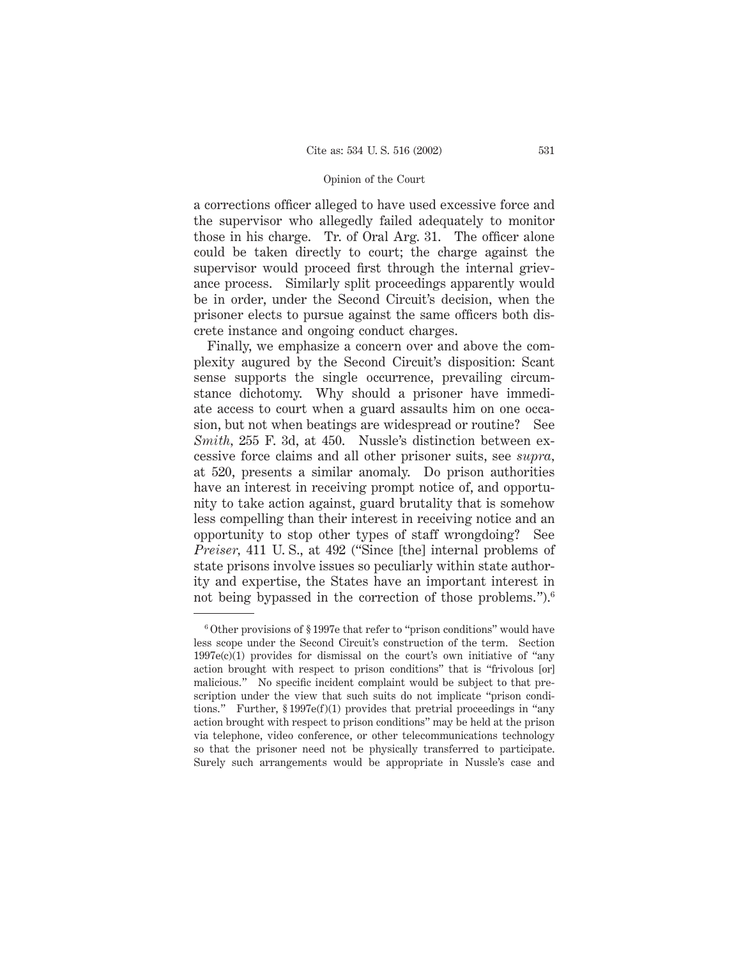a corrections officer alleged to have used excessive force and the supervisor who allegedly failed adequately to monitor those in his charge. Tr. of Oral Arg. 31. The officer alone could be taken directly to court; the charge against the supervisor would proceed first through the internal grievance process. Similarly split proceedings apparently would be in order, under the Second Circuit's decision, when the prisoner elects to pursue against the same officers both discrete instance and ongoing conduct charges.

Finally, we emphasize a concern over and above the complexity augured by the Second Circuit's disposition: Scant sense supports the single occurrence, prevailing circumstance dichotomy. Why should a prisoner have immediate access to court when a guard assaults him on one occasion, but not when beatings are widespread or routine? See *Smith,* 255 F. 3d, at 450. Nussle's distinction between excessive force claims and all other prisoner suits, see *supra,* at 520, presents a similar anomaly. Do prison authorities have an interest in receiving prompt notice of, and opportunity to take action against, guard brutality that is somehow less compelling than their interest in receiving notice and an opportunity to stop other types of staff wrongdoing? See *Preiser,* 411 U. S., at 492 ("Since [the] internal problems of state prisons involve issues so peculiarly within state authority and expertise, the States have an important interest in not being bypassed in the correction of those problems.").<sup>6</sup>

<sup>6</sup> Other provisions of § 1997e that refer to "prison conditions" would have less scope under the Second Circuit's construction of the term. Section  $1997e(c)(1)$  provides for dismissal on the court's own initiative of "any action brought with respect to prison conditions" that is "frivolous [or] malicious." No specific incident complaint would be subject to that prescription under the view that such suits do not implicate "prison conditions." Further, § 1997e(f)(1) provides that pretrial proceedings in "any action brought with respect to prison conditions" may be held at the prison via telephone, video conference, or other telecommunications technology so that the prisoner need not be physically transferred to participate. Surely such arrangements would be appropriate in Nussle's case and